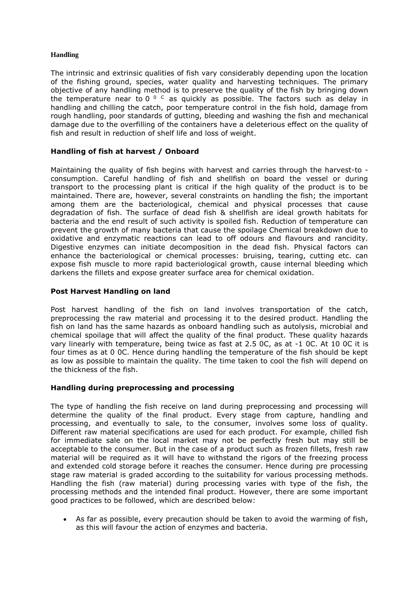# **Handling**

The intrinsic and extrinsic qualities of fish vary considerably depending upon the location of the fishing ground, species, water quality and harvesting techniques. The primary objective of any handling method is to preserve the quality of the fish by bringing down the temperature near to 0<sup>o c</sup> as quickly as possible. The factors such as delay in handling and chilling the catch, poor temperature control in the fish hold, damage from rough handling, poor standards of gutting, bleeding and washing the fish and mechanical damage due to the overfilling of the containers have a deleterious effect on the quality of fish and result in reduction of shelf life and loss of weight.

# **Handling of fish at harvest / Onboard**

Maintaining the quality of fish begins with harvest and carries through the harvest-to consumption. Careful handling of fish and shellfish on board the vessel or during transport to the processing plant is critical if the high quality of the product is to be maintained. There are, however, several constraints on handling the fish; the important among them are the bacteriological, chemical and physical processes that cause degradation of fish. The surface of dead fish & shellfish are ideal growth habitats for bacteria and the end result of such activity is spoiled fish. Reduction of temperature can prevent the growth of many bacteria that cause the spoilage Chemical breakdown due to oxidative and enzymatic reactions can lead to off odours and flavours and rancidity. Digestive enzymes can initiate decomposition in the dead fish. Physical factors can enhance the bacteriological or chemical processes: bruising, tearing, cutting etc. can expose fish muscle to more rapid bacteriological growth, cause internal bleeding which darkens the fillets and expose greater surface area for chemical oxidation.

# **Post Harvest Handling on land**

Post harvest handling of the fish on land involves transportation of the catch, preprocessing the raw material and processing it to the desired product. Handling the fish on land has the same hazards as onboard handling such as autolysis, microbial and chemical spoilage that will affect the quality of the final product. These quality hazards vary linearly with temperature, being twice as fast at 2.5 0C, as at -1 0C. At 10 0C it is four times as at 0 0C. Hence during handling the temperature of the fish should be kept as low as possible to maintain the quality. The time taken to cool the fish will depend on the thickness of the fish.

# **Handling during preprocessing and processing**

The type of handling the fish receive on land during preprocessing and processing will determine the quality of the final product. Every stage from capture, handling and processing, and eventually to sale, to the consumer, involves some loss of quality. Different raw material specifications are used for each product. For example, chilled fish for immediate sale on the local market may not be perfectly fresh but may still be acceptable to the consumer. But in the case of a product such as frozen fillets, fresh raw material will be required as it will have to withstand the rigors of the freezing process and extended cold storage before it reaches the consumer. Hence during pre processing stage raw material is graded according to the suitability for various processing methods. Handling the fish (raw material) during processing varies with type of the fish, the processing methods and the intended final product. However, there are some important good practices to be followed, which are described below:

• As far as possible, every precaution should be taken to avoid the warming of fish, as this will favour the action of enzymes and bacteria.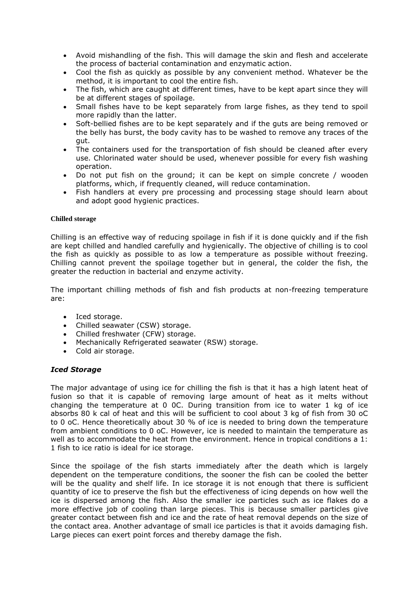- Avoid mishandling of the fish. This will damage the skin and flesh and accelerate the process of bacterial contamination and enzymatic action.
- Cool the fish as quickly as possible by any convenient method. Whatever be the method, it is important to cool the entire fish.
- The fish, which are caught at different times, have to be kept apart since they will be at different stages of spoilage.
- Small fishes have to be kept separately from large fishes, as they tend to spoil more rapidly than the latter.
- Soft-bellied fishes are to be kept separately and if the guts are being removed or the belly has burst, the body cavity has to be washed to remove any traces of the gut.
- The containers used for the transportation of fish should be cleaned after every use. Chlorinated water should be used, whenever possible for every fish washing operation.
- Do not put fish on the ground; it can be kept on simple concrete / wooden platforms, which, if frequently cleaned, will reduce contamination.
- Fish handlers at every pre processing and processing stage should learn about and adopt good hygienic practices.

# **Chilled storage**

Chilling is an effective way of reducing spoilage in fish if it is done quickly and if the fish are kept chilled and handled carefully and hygienically. The objective of chilling is to cool the fish as quickly as possible to as low a temperature as possible without freezing. Chilling cannot prevent the spoilage together but in general, the colder the fish, the greater the reduction in bacterial and enzyme activity.

The important chilling methods of fish and fish products at non-freezing temperature are:

- Iced storage.
- Chilled seawater (CSW) storage.
- Chilled freshwater (CFW) storage.
- Mechanically Refrigerated seawater (RSW) storage.
- Cold air storage.

# *Iced Storage*

The major advantage of using ice for chilling the fish is that it has a high latent heat of fusion so that it is capable of removing large amount of heat as it melts without changing the temperature at 0 0C. During transition from ice to water 1 kg of ice absorbs 80 k cal of heat and this will be sufficient to cool about 3 kg of fish from 30 oC to 0 oC. Hence theoretically about 30 % of ice is needed to bring down the temperature from ambient conditions to 0 oC. However, ice is needed to maintain the temperature as well as to accommodate the heat from the environment. Hence in tropical conditions a 1: 1 fish to ice ratio is ideal for ice storage.

Since the spoilage of the fish starts immediately after the death which is largely dependent on the temperature conditions, the sooner the fish can be cooled the better will be the quality and shelf life. In ice storage it is not enough that there is sufficient quantity of ice to preserve the fish but the effectiveness of icing depends on how well the ice is dispersed among the fish. Also the smaller ice particles such as ice flakes do a more effective job of cooling than large pieces. This is because smaller particles give greater contact between fish and ice and the rate of heat removal depends on the size of the contact area. Another advantage of small ice particles is that it avoids damaging fish. Large pieces can exert point forces and thereby damage the fish.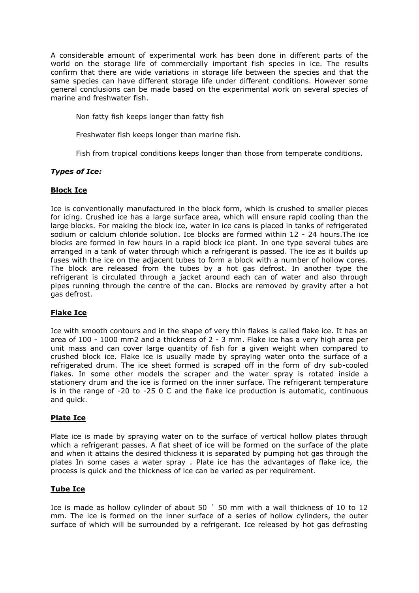A considerable amount of experimental work has been done in different parts of the world on the storage life of commercially important fish species in ice. The results confirm that there are wide variations in storage life between the species and that the same species can have different storage life under different conditions. However some general conclusions can be made based on the experimental work on several species of marine and freshwater fish.

Non fatty fish keeps longer than fatty fish

Freshwater fish keeps longer than marine fish.

Fish from tropical conditions keeps longer than those from temperate conditions.

# *Types of Ice:*

# **Block Ice**

Ice is conventionally manufactured in the block form, which is crushed to smaller pieces for icing. Crushed ice has a large surface area, which will ensure rapid cooling than the large blocks. For making the block ice, water in ice cans is placed in tanks of refrigerated sodium or calcium chloride solution. Ice blocks are formed within 12 - 24 hours.The ice blocks are formed in few hours in a rapid block ice plant. In one type several tubes are arranged in a tank of water through which a refrigerant is passed. The ice as it builds up fuses with the ice on the adjacent tubes to form a block with a number of hollow cores. The block are released from the tubes by a hot gas defrost. In another type the refrigerant is circulated through a jacket around each can of water and also through pipes running through the centre of the can. Blocks are removed by gravity after a hot gas defrost.

# **Flake Ice**

Ice with smooth contours and in the shape of very thin flakes is called flake ice. It has an area of 100 - 1000 mm2 and a thickness of 2 - 3 mm. Flake ice has a very high area per unit mass and can cover large quantity of fish for a given weight when compared to crushed block ice. Flake ice is usually made by spraying water onto the surface of a refrigerated drum. The ice sheet formed is scraped off in the form of dry sub-cooled flakes. In some other models the scraper and the water spray is rotated inside a stationery drum and the ice is formed on the inner surface. The refrigerant temperature is in the range of -20 to -25 0 C and the flake ice production is automatic, continuous and quick.

# **Plate Ice**

Plate ice is made by spraying water on to the surface of vertical hollow plates through which a refrigerant passes. A flat sheet of ice will be formed on the surface of the plate and when it attains the desired thickness it is separated by pumping hot gas through the plates In some cases a water spray . Plate ice has the advantages of flake ice, the process is quick and the thickness of ice can be varied as per requirement.

# **Tube Ice**

Ice is made as hollow cylinder of about 50 ´ 50 mm with a wall thickness of 10 to 12 mm. The ice is formed on the inner surface of a series of hollow cylinders, the outer surface of which will be surrounded by a refrigerant. Ice released by hot gas defrosting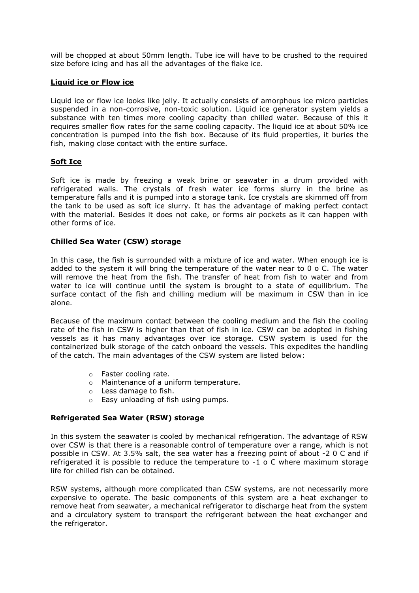will be chopped at about 50mm length. Tube ice will have to be crushed to the required size before icing and has all the advantages of the flake ice.

# **Liquid ice or Flow ice**

Liquid ice or flow ice looks like jelly. It actually consists of amorphous ice micro particles suspended in a non-corrosive, non-toxic solution. Liquid ice generator system yields a substance with ten times more cooling capacity than chilled water. Because of this it requires smaller flow rates for the same cooling capacity. The liquid ice at about 50% ice concentration is pumped into the fish box. Because of its fluid properties, it buries the fish, making close contact with the entire surface.

# **Soft Ice**

Soft ice is made by freezing a weak brine or seawater in a drum provided with refrigerated walls. The crystals of fresh water ice forms slurry in the brine as temperature falls and it is pumped into a storage tank. Ice crystals are skimmed off from the tank to be used as soft ice slurry. It has the advantage of making perfect contact with the material. Besides it does not cake, or forms air pockets as it can happen with other forms of ice.

# **Chilled Sea Water (CSW) storage**

In this case, the fish is surrounded with a mixture of ice and water. When enough ice is added to the system it will bring the temperature of the water near to 0 o C. The water will remove the heat from the fish. The transfer of heat from fish to water and from water to ice will continue until the system is brought to a state of equilibrium. The surface contact of the fish and chilling medium will be maximum in CSW than in ice alone.

Because of the maximum contact between the cooling medium and the fish the cooling rate of the fish in CSW is higher than that of fish in ice. CSW can be adopted in fishing vessels as it has many advantages over ice storage. CSW system is used for the containerized bulk storage of the catch onboard the vessels. This expedites the handling of the catch. The main advantages of the CSW system are listed below:

- o Faster cooling rate.
- o Maintenance of a uniform temperature.
- o Less damage to fish.
- o Easy unloading of fish using pumps.

# **Refrigerated Sea Water (RSW) storage**

In this system the seawater is cooled by mechanical refrigeration. The advantage of RSW over CSW is that there is a reasonable control of temperature over a range, which is not possible in CSW. At 3.5% salt, the sea water has a freezing point of about -2 0 C and if refrigerated it is possible to reduce the temperature to -1 o C where maximum storage life for chilled fish can be obtained.

RSW systems, although more complicated than CSW systems, are not necessarily more expensive to operate. The basic components of this system are a heat exchanger to remove heat from seawater, a mechanical refrigerator to discharge heat from the system and a circulatory system to transport the refrigerant between the heat exchanger and the refrigerator.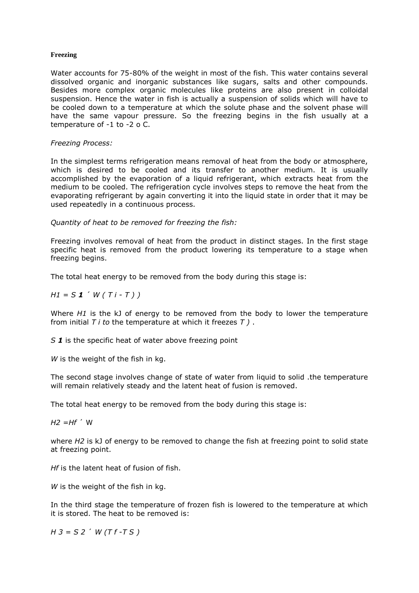## **Freezing**

Water accounts for 75-80% of the weight in most of the fish. This water contains several dissolved organic and inorganic substances like sugars, salts and other compounds. Besides more complex organic molecules like proteins are also present in colloidal suspension. Hence the water in fish is actually a suspension of solids which will have to be cooled down to a temperature at which the solute phase and the solvent phase will have the same vapour pressure. So the freezing begins in the fish usually at a temperature of -1 to -2 o C.

### *Freezing Process:*

In the simplest terms refrigeration means removal of heat from the body or atmosphere, which is desired to be cooled and its transfer to another medium. It is usually accomplished by the evaporation of a liquid refrigerant, which extracts heat from the medium to be cooled. The refrigeration cycle involves steps to remove the heat from the evaporating refrigerant by again converting it into the liquid state in order that it may be used repeatedly in a continuous process.

*Quantity of heat to be removed for freezing the fish:*

Freezing involves removal of heat from the product in distinct stages. In the first stage specific heat is removed from the product lowering its temperature to a stage when freezing begins.

The total heat energy to be removed from the body during this stage is:

 $H1 = S1' W(T1 - T)$ 

Where *H1* is the kJ of energy to be removed from the body to lower the temperature from initial *T i to* the temperature at which it freezes *T )* .

*S 1* is the specific heat of water above freezing point

W is the weight of the fish in kg.

The second stage involves change of state of water from liquid to solid .the temperature will remain relatively steady and the latent heat of fusion is removed.

The total heat energy to be removed from the body during this stage is:

 $H2 = Hf'$  W

where *H2* is kJ of energy to be removed to change the fish at freezing point to solid state at freezing point.

*Hf* is the latent heat of fusion of fish.

*W* is the weight of the fish in kg.

In the third stage the temperature of frozen fish is lowered to the temperature at which it is stored. The heat to be removed is:

*H 3 = S 2* ´ *W (T f -T S )*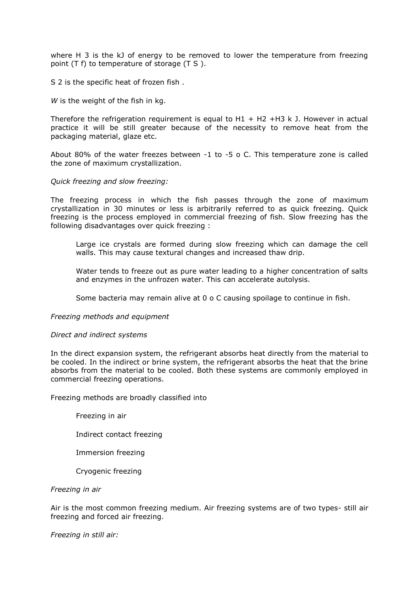where H 3 is the kJ of energy to be removed to lower the temperature from freezing point (T f) to temperature of storage (T S ).

S 2 is the specific heat of frozen fish .

W is the weight of the fish in kg.

Therefore the refrigeration requirement is equal to  $H1 + H2 +H3$  k J. However in actual practice it will be still greater because of the necessity to remove heat from the packaging material, glaze etc.

About 80% of the water freezes between -1 to -5 o C. This temperature zone is called the zone of maximum crystallization.

### *Quick freezing and slow freezing:*

The freezing process in which the fish passes through the zone of maximum crystallization in 30 minutes or less is arbitrarily referred to as quick freezing. Quick freezing is the process employed in commercial freezing of fish. Slow freezing has the following disadvantages over quick freezing :

Large ice crystals are formed during slow freezing which can damage the cell walls. This may cause textural changes and increased thaw drip.

Water tends to freeze out as pure water leading to a higher concentration of salts and enzymes in the unfrozen water. This can accelerate autolysis.

Some bacteria may remain alive at 0 o C causing spoilage to continue in fish.

#### *Freezing methods and equipment*

#### *Direct and indirect systems*

In the direct expansion system, the refrigerant absorbs heat directly from the material to be cooled. In the indirect or brine system, the refrigerant absorbs the heat that the brine absorbs from the material to be cooled. Both these systems are commonly employed in commercial freezing operations.

Freezing methods are broadly classified into

Freezing in air

Indirect contact freezing

- Immersion freezing
- Cryogenic freezing

#### *Freezing in air*

Air is the most common freezing medium. Air freezing systems are of two types- still air freezing and forced air freezing.

*Freezing in still air:*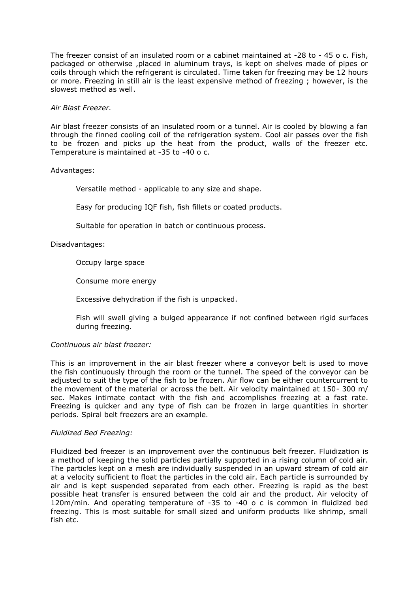The freezer consist of an insulated room or a cabinet maintained at -28 to - 45 o c. Fish, packaged or otherwise ,placed in aluminum trays, is kept on shelves made of pipes or coils through which the refrigerant is circulated. Time taken for freezing may be 12 hours or more. Freezing in still air is the least expensive method of freezing ; however, is the slowest method as well.

## *Air Blast Freezer.*

Air blast freezer consists of an insulated room or a tunnel. Air is cooled by blowing a fan through the finned cooling coil of the refrigeration system. Cool air passes over the fish to be frozen and picks up the heat from the product, walls of the freezer etc. Temperature is maintained at -35 to -40 o c.

### Advantages:

Versatile method - applicable to any size and shape.

Easy for producing IQF fish, fish fillets or coated products.

Suitable for operation in batch or continuous process.

### Disadvantages:

Occupy large space

Consume more energy

Excessive dehydration if the fish is unpacked.

Fish will swell giving a bulged appearance if not confined between rigid surfaces during freezing.

### *Continuous air blast freezer:*

This is an improvement in the air blast freezer where a conveyor belt is used to move the fish continuously through the room or the tunnel. The speed of the conveyor can be adjusted to suit the type of the fish to be frozen. Air flow can be either countercurrent to the movement of the material or across the belt. Air velocity maintained at 150- 300 m/ sec. Makes intimate contact with the fish and accomplishes freezing at a fast rate. Freezing is quicker and any type of fish can be frozen in large quantities in shorter periods. Spiral belt freezers are an example.

#### *Fluidized Bed Freezing:*

Fluidized bed freezer is an improvement over the continuous belt freezer. Fluidization is a method of keeping the solid particles partially supported in a rising column of cold air. The particles kept on a mesh are individually suspended in an upward stream of cold air at a velocity sufficient to float the particles in the cold air. Each particle is surrounded by air and is kept suspended separated from each other. Freezing is rapid as the best possible heat transfer is ensured between the cold air and the product. Air velocity of 120m/min. And operating temperature of -35 to -40 o c is common in fluidized bed freezing. This is most suitable for small sized and uniform products like shrimp, small fish etc.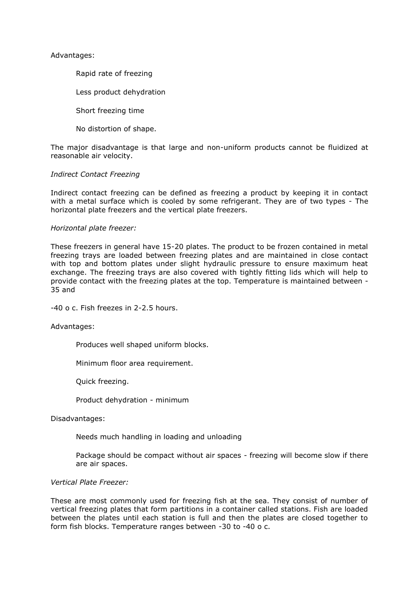Advantages:

Rapid rate of freezing

Less product dehydration

Short freezing time

No distortion of shape.

The major disadvantage is that large and non-uniform products cannot be fluidized at reasonable air velocity.

### *Indirect Contact Freezing*

Indirect contact freezing can be defined as freezing a product by keeping it in contact with a metal surface which is cooled by some refrigerant. They are of two types - The horizontal plate freezers and the vertical plate freezers.

#### *Horizontal plate freezer:*

These freezers in general have 15-20 plates. The product to be frozen contained in metal freezing trays are loaded between freezing plates and are maintained in close contact with top and bottom plates under slight hydraulic pressure to ensure maximum heat exchange. The freezing trays are also covered with tightly fitting lids which will help to provide contact with the freezing plates at the top. Temperature is maintained between - 35 and

-40 o c. Fish freezes in 2-2.5 hours.

#### Advantages:

Produces well shaped uniform blocks.

Minimum floor area requirement.

Quick freezing.

Product dehydration - minimum

Disadvantages:

Needs much handling in loading and unloading

Package should be compact without air spaces - freezing will become slow if there are air spaces.

### *Vertical Plate Freezer:*

These are most commonly used for freezing fish at the sea. They consist of number of vertical freezing plates that form partitions in a container called stations. Fish are loaded between the plates until each station is full and then the plates are closed together to form fish blocks. Temperature ranges between -30 to -40 o c.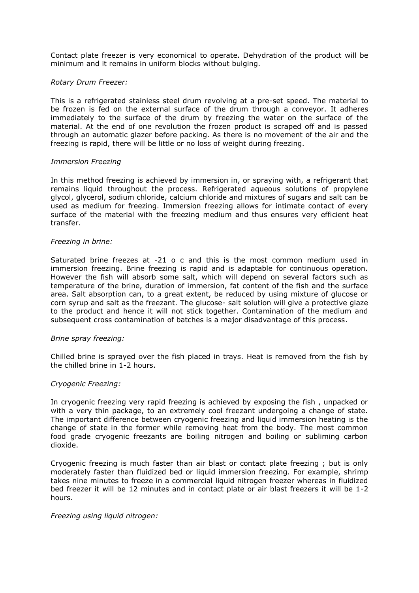Contact plate freezer is very economical to operate. Dehydration of the product will be minimum and it remains in uniform blocks without bulging.

## *Rotary Drum Freezer:*

This is a refrigerated stainless steel drum revolving at a pre-set speed. The material to be frozen is fed on the external surface of the drum through a conveyor. It adheres immediately to the surface of the drum by freezing the water on the surface of the material. At the end of one revolution the frozen product is scraped off and is passed through an automatic glazer before packing. As there is no movement of the air and the freezing is rapid, there will be little or no loss of weight during freezing.

#### *Immersion Freezing*

In this method freezing is achieved by immersion in, or spraying with, a refrigerant that remains liquid throughout the process. Refrigerated aqueous solutions of propylene glycol, glycerol, sodium chloride, calcium chloride and mixtures of sugars and salt can be used as medium for freezing. Immersion freezing allows for intimate contact of every surface of the material with the freezing medium and thus ensures very efficient heat transfer.

### *Freezing in brine:*

Saturated brine freezes at -21 o c and this is the most common medium used in immersion freezing. Brine freezing is rapid and is adaptable for continuous operation. However the fish will absorb some salt, which will depend on several factors such as temperature of the brine, duration of immersion, fat content of the fish and the surface area. Salt absorption can, to a great extent, be reduced by using mixture of glucose or corn syrup and salt as the freezant. The glucose- salt solution will give a protective glaze to the product and hence it will not stick together. Contamination of the medium and subsequent cross contamination of batches is a major disadvantage of this process.

#### *Brine spray freezing:*

Chilled brine is sprayed over the fish placed in trays. Heat is removed from the fish by the chilled brine in 1-2 hours.

# *Cryogenic Freezing:*

In cryogenic freezing very rapid freezing is achieved by exposing the fish , unpacked or with a very thin package, to an extremely cool freezant undergoing a change of state. The important difference between cryogenic freezing and liquid immersion heating is the change of state in the former while removing heat from the body. The most common food grade cryogenic freezants are boiling nitrogen and boiling or subliming carbon dioxide.

Cryogenic freezing is much faster than air blast or contact plate freezing ; but is only moderately faster than fluidized bed or liquid immersion freezing. For example, shrimp takes nine minutes to freeze in a commercial liquid nitrogen freezer whereas in fluidized bed freezer it will be 12 minutes and in contact plate or air blast freezers it will be 1-2 hours.

#### *Freezing using liquid nitrogen:*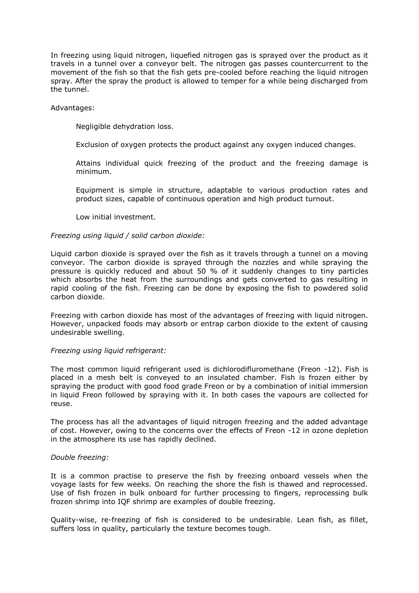In freezing using liquid nitrogen, liquefied nitrogen gas is sprayed over the product as it travels in a tunnel over a conveyor belt. The nitrogen gas passes countercurrent to the movement of the fish so that the fish gets pre-cooled before reaching the liquid nitrogen spray. After the spray the product is allowed to temper for a while being discharged from the tunnel.

### Advantages:

Negligible dehydration loss.

Exclusion of oxygen protects the product against any oxygen induced changes.

Attains individual quick freezing of the product and the freezing damage is minimum.

Equipment is simple in structure, adaptable to various production rates and product sizes, capable of continuous operation and high product turnout.

Low initial investment.

### *Freezing using liquid / solid carbon dioxide:*

Liquid carbon dioxide is sprayed over the fish as it travels through a tunnel on a moving conveyor. The carbon dioxide is sprayed through the nozzles and while spraying the pressure is quickly reduced and about 50 % of it suddenly changes to tiny particles which absorbs the heat from the surroundings and gets converted to gas resulting in rapid cooling of the fish. Freezing can be done by exposing the fish to powdered solid carbon dioxide.

Freezing with carbon dioxide has most of the advantages of freezing with liquid nitrogen. However, unpacked foods may absorb or entrap carbon dioxide to the extent of causing undesirable swelling.

#### *Freezing using liquid refrigerant:*

The most common liquid refrigerant used is dichlorodifluromethane (Freon -12). Fish is placed in a mesh belt is conveyed to an insulated chamber. Fish is frozen either by spraying the product with good food grade Freon or by a combination of initial immersion in liquid Freon followed by spraying with it. In both cases the vapours are collected for reuse.

The process has all the advantages of liquid nitrogen freezing and the added advantage of cost. However, owing to the concerns over the effects of Freon -12 in ozone depletion in the atmosphere its use has rapidly declined.

### *Double freezing:*

It is a common practise to preserve the fish by freezing onboard vessels when the voyage lasts for few weeks. On reaching the shore the fish is thawed and reprocessed. Use of fish frozen in bulk onboard for further processing to fingers, reprocessing bulk frozen shrimp into IQF shrimp are examples of double freezing.

Quality-wise, re-freezing of fish is considered to be undesirable. Lean fish, as fillet, suffers loss in quality, particularly the texture becomes tough.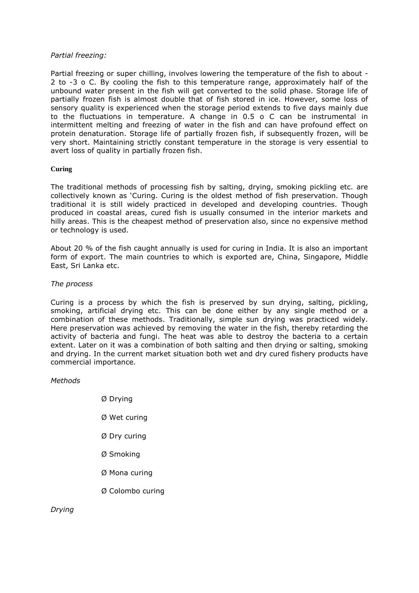## *Partial freezing:*

Partial freezing or super chilling, involves lowering the temperature of the fish to about - 2 to -3 o C. By cooling the fish to this temperature range, approximately half of the unbound water present in the fish will get converted to the solid phase. Storage life of partially frozen fish is almost double that of fish stored in ice. However, some loss of sensory quality is experienced when the storage period extends to five days mainly due to the fluctuations in temperature. A change in 0.5 o C can be instrumental in intermittent melting and freezing of water in the fish and can have profound effect on protein denaturation. Storage life of partially frozen fish, if subsequently frozen, will be very short. Maintaining strictly constant temperature in the storage is very essential to avert loss of quality in partially frozen fish.

# **Curing**

The traditional methods of processing fish by salting, drying, smoking pickling etc. are collectively known as 'Curing. Curing is the oldest method of fish preservation. Though traditional it is still widely practiced in developed and developing countries. Though produced in coastal areas, cured fish is usually consumed in the interior markets and hilly areas. This is the cheapest method of preservation also, since no expensive method or technology is used.

About 20 % of the fish caught annually is used for curing in India. It is also an important form of export. The main countries to which is exported are, China, Singapore, Middle East, Sri Lanka etc.

### *The process*

Curing is a process by which the fish is preserved by sun drying, salting, pickling, smoking, artificial drying etc. This can be done either by any single method or a combination of these methods. Traditionally, simple sun drying was practiced widely. Here preservation was achieved by removing the water in the fish, thereby retarding the activity of bacteria and fungi. The heat was able to destroy the bacteria to a certain extent. Later on it was a combination of both salting and then drying or salting, smoking and drying. In the current market situation both wet and dry cured fishery products have commercial importance.

### *Methods*

Ø Drying Ø Wet curing Ø Dry curing Ø Smoking Ø Mona curing Ø Colombo curing

*Drying*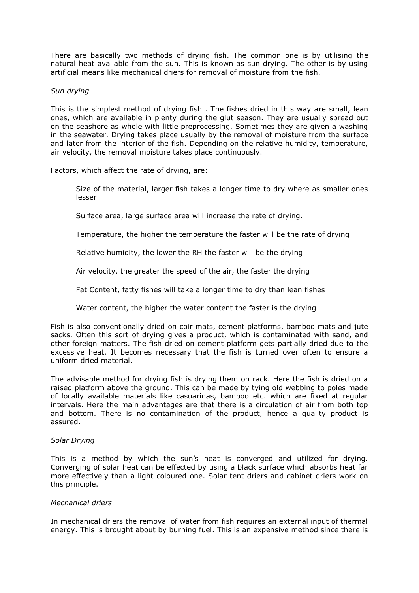There are basically two methods of drying fish. The common one is by utilising the natural heat available from the sun. This is known as sun drying. The other is by using artificial means like mechanical driers for removal of moisture from the fish.

### *Sun drying*

This is the simplest method of drying fish . The fishes dried in this way are small, lean ones, which are available in plenty during the glut season. They are usually spread out on the seashore as whole with little preprocessing. Sometimes they are given a washing in the seawater. Drying takes place usually by the removal of moisture from the surface and later from the interior of the fish. Depending on the relative humidity, temperature, air velocity, the removal moisture takes place continuously.

Factors, which affect the rate of drying, are:

Size of the material, larger fish takes a longer time to dry where as smaller ones lesser

Surface area, large surface area will increase the rate of drying.

Temperature, the higher the temperature the faster will be the rate of drying

Relative humidity, the lower the RH the faster will be the drying

Air velocity, the greater the speed of the air, the faster the drying

Fat Content, fatty fishes will take a longer time to dry than lean fishes

Water content, the higher the water content the faster is the drying

Fish is also conventionally dried on coir mats, cement platforms, bamboo mats and jute sacks. Often this sort of drying gives a product, which is contaminated with sand, and other foreign matters. The fish dried on cement platform gets partially dried due to the excessive heat. It becomes necessary that the fish is turned over often to ensure a uniform dried material.

The advisable method for drying fish is drying them on rack. Here the fish is dried on a raised platform above the ground. This can be made by tying old webbing to poles made of locally available materials like casuarinas, bamboo etc. which are fixed at regular intervals. Here the main advantages are that there is a circulation of air from both top and bottom. There is no contamination of the product, hence a quality product is assured.

#### *Solar Drying*

This is a method by which the sun's heat is converged and utilized for drying. Converging of solar heat can be effected by using a black surface which absorbs heat far more effectively than a light coloured one. Solar tent driers and cabinet driers work on this principle.

#### *Mechanical driers*

In mechanical driers the removal of water from fish requires an external input of thermal energy. This is brought about by burning fuel. This is an expensive method since there is